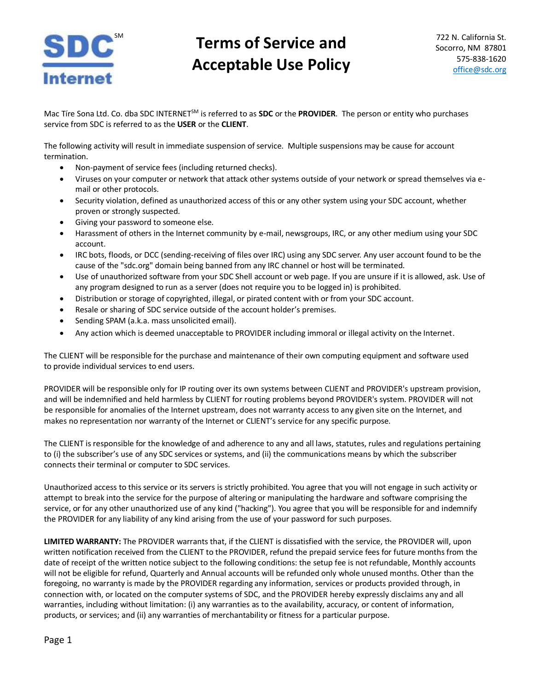

## **SDC** Terms of Service and **Acceptable Use Policy**

Mac Tíre Sona Ltd. Co. dba SDC INTERNETSM is referred to as **SDC** or the **PROVIDER**. The person or entity who purchases service from SDC is referred to as the **USER** or the **CLIENT**.

The following activity will result in immediate suspension of service. Multiple suspensions may be cause for account termination.

- Non-payment of service fees (including returned checks).
- Viruses on your computer or network that attack other systems outside of your network or spread themselves via email or other protocols.
- Security violation, defined as unauthorized access of this or any other system using your SDC account, whether proven or strongly suspected.
- Giving your password to someone else.
- Harassment of others in the Internet community by e-mail, newsgroups, IRC, or any other medium using your SDC account.
- IRC bots, floods, or DCC (sending-receiving of files over IRC) using any SDC server. Any user account found to be the cause of the "sdc.org" domain being banned from any IRC channel or host will be terminated.
- Use of unauthorized software from your SDC Shell account or web page. If you are unsure if it is allowed, ask. Use of any program designed to run as a server (does not require you to be logged in) is prohibited.
- Distribution or storage of copyrighted, illegal, or pirated content with or from your SDC account.
- Resale or sharing of SDC service outside of the account holder's premises.
- Sending SPAM (a.k.a. mass unsolicited email).
- Any action which is deemed unacceptable to PROVIDER including immoral or illegal activity on the Internet.

The CLIENT will be responsible for the purchase and maintenance of their own computing equipment and software used to provide individual services to end users.

PROVIDER will be responsible only for IP routing over its own systems between CLIENT and PROVIDER's upstream provision, and will be indemnified and held harmless by CLIENT for routing problems beyond PROVIDER's system. PROVIDER will not be responsible for anomalies of the Internet upstream, does not warranty access to any given site on the Internet, and makes no representation nor warranty of the Internet or CLIENT's service for any specific purpose.

The CLIENT is responsible for the knowledge of and adherence to any and all laws, statutes, rules and regulations pertaining to (i) the subscriber's use of any SDC services or systems, and (ii) the communications means by which the subscriber connects their terminal or computer to SDC services.

Unauthorized access to this service or its servers is strictly prohibited. You agree that you will not engage in such activity or attempt to break into the service for the purpose of altering or manipulating the hardware and software comprising the service, or for any other unauthorized use of any kind ("hacking"). You agree that you will be responsible for and indemnify the PROVIDER for any liability of any kind arising from the use of your password for such purposes.

**LIMITED WARRANTY:** The PROVIDER warrants that, if the CLIENT is dissatisfied with the service, the PROVIDER will, upon written notification received from the CLIENT to the PROVIDER, refund the prepaid service fees for future months from the date of receipt of the written notice subject to the following conditions: the setup fee is not refundable, Monthly accounts will not be eligible for refund, Quarterly and Annual accounts will be refunded only whole unused months. Other than the foregoing, no warranty is made by the PROVIDER regarding any information, services or products provided through, in connection with, or located on the computer systems of SDC, and the PROVIDER hereby expressly disclaims any and all warranties, including without limitation: (i) any warranties as to the availability, accuracy, or content of information, products, or services; and (ii) any warranties of merchantability or fitness for a particular purpose.